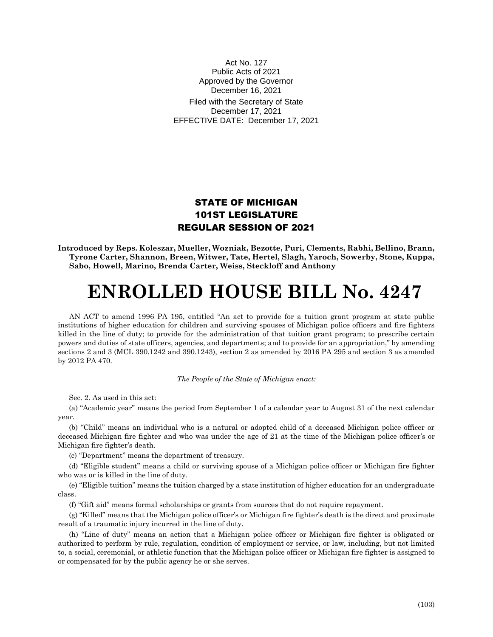## Act No. 127 Public Acts of 2021 Approved by the Governor December 16, 2021

Filed with the Secretary of State December 17, 2021 EFFECTIVE DATE: December 17, 2021

## STATE OF MICHIGAN 101ST LEGISLATURE REGULAR SESSION OF 2021

**Introduced by Reps. Koleszar, Mueller, Wozniak, Bezotte, Puri, Clements, Rabhi, Bellino, Brann, Tyrone Carter, Shannon, Breen, Witwer, Tate, Hertel, Slagh, Yaroch, Sowerby, Stone, Kuppa, Sabo, Howell, Marino, Brenda Carter, Weiss, Steckloff and Anthony**

## **ENROLLED HOUSE BILL No. 4247**

AN ACT to amend 1996 PA 195, entitled "An act to provide for a tuition grant program at state public institutions of higher education for children and surviving spouses of Michigan police officers and fire fighters killed in the line of duty; to provide for the administration of that tuition grant program; to prescribe certain powers and duties of state officers, agencies, and departments; and to provide for an appropriation," by amending sections 2 and 3 (MCL 390.1242 and 390.1243), section 2 as amended by 2016 PA 295 and section 3 as amended by 2012 PA 470.

## *The People of the State of Michigan enact:*

Sec. 2. As used in this act:

(a) "Academic year" means the period from September 1 of a calendar year to August 31 of the next calendar year.

(b) "Child" means an individual who is a natural or adopted child of a deceased Michigan police officer or deceased Michigan fire fighter and who was under the age of 21 at the time of the Michigan police officer's or Michigan fire fighter's death.

(c) "Department" means the department of treasury.

(d) "Eligible student" means a child or surviving spouse of a Michigan police officer or Michigan fire fighter who was or is killed in the line of duty.

(e) "Eligible tuition" means the tuition charged by a state institution of higher education for an undergraduate class.

(f) "Gift aid" means formal scholarships or grants from sources that do not require repayment.

(g) "Killed" means that the Michigan police officer's or Michigan fire fighter's death is the direct and proximate result of a traumatic injury incurred in the line of duty.

(h) "Line of duty" means an action that a Michigan police officer or Michigan fire fighter is obligated or authorized to perform by rule, regulation, condition of employment or service, or law, including, but not limited to, a social, ceremonial, or athletic function that the Michigan police officer or Michigan fire fighter is assigned to or compensated for by the public agency he or she serves.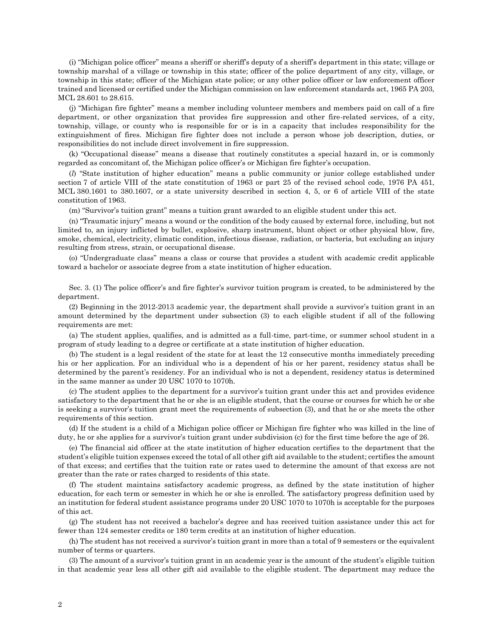(i) "Michigan police officer" means a sheriff or sheriff's deputy of a sheriff's department in this state; village or township marshal of a village or township in this state; officer of the police department of any city, village, or township in this state; officer of the Michigan state police; or any other police officer or law enforcement officer trained and licensed or certified under the Michigan commission on law enforcement standards act, 1965 PA 203, MCL 28.601 to 28.615.

(j) "Michigan fire fighter" means a member including volunteer members and members paid on call of a fire department, or other organization that provides fire suppression and other fire-related services, of a city, township, village, or county who is responsible for or is in a capacity that includes responsibility for the extinguishment of fires. Michigan fire fighter does not include a person whose job description, duties, or responsibilities do not include direct involvement in fire suppression.

(k) "Occupational disease" means a disease that routinely constitutes a special hazard in, or is commonly regarded as concomitant of, the Michigan police officer's or Michigan fire fighter's occupation.

(*l*) "State institution of higher education" means a public community or junior college established under section 7 of article VIII of the state constitution of 1963 or part 25 of the revised school code, 1976 PA 451, MCL 380.1601 to 380.1607, or a state university described in section 4, 5, or 6 of article VIII of the state constitution of 1963.

(m) "Survivor's tuition grant" means a tuition grant awarded to an eligible student under this act.

(n) "Traumatic injury" means a wound or the condition of the body caused by external force, including, but not limited to, an injury inflicted by bullet, explosive, sharp instrument, blunt object or other physical blow, fire, smoke, chemical, electricity, climatic condition, infectious disease, radiation, or bacteria, but excluding an injury resulting from stress, strain, or occupational disease.

(o) "Undergraduate class" means a class or course that provides a student with academic credit applicable toward a bachelor or associate degree from a state institution of higher education.

Sec. 3. (1) The police officer's and fire fighter's survivor tuition program is created, to be administered by the department.

(2) Beginning in the 2012-2013 academic year, the department shall provide a survivor's tuition grant in an amount determined by the department under subsection (3) to each eligible student if all of the following requirements are met:

(a) The student applies, qualifies, and is admitted as a full-time, part-time, or summer school student in a program of study leading to a degree or certificate at a state institution of higher education.

(b) The student is a legal resident of the state for at least the 12 consecutive months immediately preceding his or her application. For an individual who is a dependent of his or her parent, residency status shall be determined by the parent's residency. For an individual who is not a dependent, residency status is determined in the same manner as under 20 USC 1070 to 1070h.

(c) The student applies to the department for a survivor's tuition grant under this act and provides evidence satisfactory to the department that he or she is an eligible student, that the course or courses for which he or she is seeking a survivor's tuition grant meet the requirements of subsection (3), and that he or she meets the other requirements of this section.

(d) If the student is a child of a Michigan police officer or Michigan fire fighter who was killed in the line of duty, he or she applies for a survivor's tuition grant under subdivision (c) for the first time before the age of 26.

(e) The financial aid officer at the state institution of higher education certifies to the department that the student's eligible tuition expenses exceed the total of all other gift aid available to the student; certifies the amount of that excess; and certifies that the tuition rate or rates used to determine the amount of that excess are not greater than the rate or rates charged to residents of this state.

(f) The student maintains satisfactory academic progress, as defined by the state institution of higher education, for each term or semester in which he or she is enrolled. The satisfactory progress definition used by an institution for federal student assistance programs under 20 USC 1070 to 1070h is acceptable for the purposes of this act.

(g) The student has not received a bachelor's degree and has received tuition assistance under this act for fewer than 124 semester credits or 180 term credits at an institution of higher education.

(h) The student has not received a survivor's tuition grant in more than a total of 9 semesters or the equivalent number of terms or quarters.

(3) The amount of a survivor's tuition grant in an academic year is the amount of the student's eligible tuition in that academic year less all other gift aid available to the eligible student. The department may reduce the